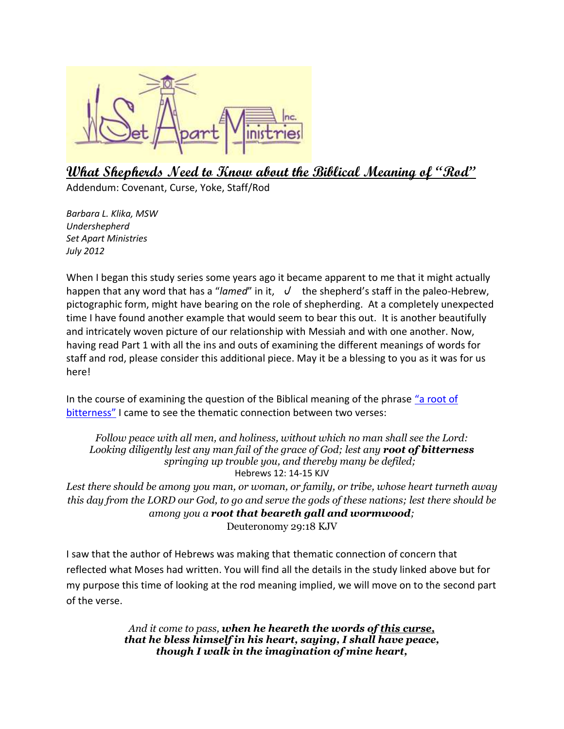

# **What Shepherds Need to Know about the Biblical Meaning of "Rod"**

Addendum: Covenant, Curse, Yoke, Staff/Rod

*Barbara L. Klika, MSW Undershepherd Set Apart Ministries July 2012*

When I began this study series some years ago it became apparent to me that it might actually happen that any word that has a "*lamed*" in it,  $\sqrt{ }$  the shepherd's staff in the paleo-Hebrew, pictographic form, might have bearing on the role of shepherding. At a completely unexpected time I have found another example that would seem to bear this out. It is another beautifully and intricately woven picture of our relationship with Messiah and with one another. Now, having read Part 1 with all the ins and outs of examining the different meanings of words for staff and rod, please consider this additional piece. May it be a blessing to you as it was for us here!

In the course of examining the question of the Biblical meaning of the phrase ["a root](http://www.set-apart-ministries.org/files/Articles/Does_a_root_of_bitterness_mean_what_we_think_3.pdf) of [bitterness](http://www.set-apart-ministries.org/files/Articles/Does_a_root_of_bitterness_mean_what_we_think_3.pdf)" I came to see the thematic connection between two verses:

*Follow peace with all men, and holiness, without which no man shall see the Lord: Looking diligently lest any man fail of the grace of God; lest any root of bitterness springing up trouble you, and thereby many be defiled;* Hebrews 12: 14-15 KJV

*Lest there should be among you man, or woman, or family, or tribe, whose heart turneth away this day from the LORD our God, to go and serve the gods of these nations; lest there should be among you a root that beareth gall and wormwood;* Deuteronomy 29:18 KJV

I saw that the author of Hebrews was making that thematic connection of concern that reflected what Moses had written. You will find all the details in the study linked above but for my purpose this time of looking at the rod meaning implied, we will move on to the second part of the verse.

> *And it come to pass, when he heareth the words of this curse, that he bless himself in his heart, saying, I shall have peace, though I walk in the imagination of mine heart,*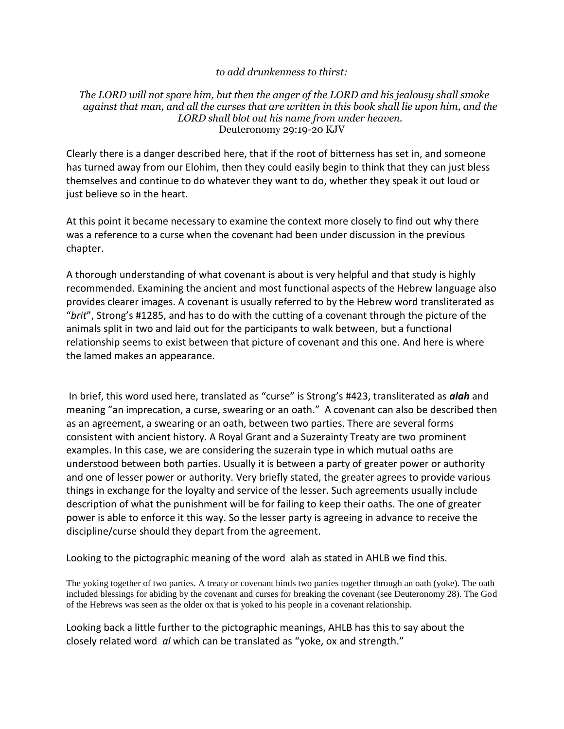#### *to add drunkenness to thirst:*

#### *The LORD will not spare him, but then the anger of the LORD and his jealousy shall smoke against that man, and all the curses that are written in this book shall lie upon him, and the LORD shall blot out his name from under heaven.* Deuteronomy 29:19-20 KJV

Clearly there is a danger described here, that if the root of bitterness has set in, and someone has turned away from our Elohim, then they could easily begin to think that they can just bless themselves and continue to do whatever they want to do, whether they speak it out loud or just believe so in the heart.

At this point it became necessary to examine the context more closely to find out why there was a reference to a curse when the covenant had been under discussion in the previous chapter.

A thorough understanding of what covenant is about is very helpful and that study is highly recommended. Examining the ancient and most functional aspects of the Hebrew language also provides clearer images. A covenant is usually referred to by the Hebrew word transliterated as "*brit*", Strong's #1285, and has to do with the cutting of a covenant through the picture of the animals split in two and laid out for the participants to walk between, but a functional relationship seems to exist between that picture of covenant and this one. And here is where the lamed makes an appearance.

In brief, this word used here, translated as "curse" is Strong's #423, transliterated as *alah* and meaning "an imprecation, a curse, swearing or an oath." A covenant can also be described then as an agreement, a swearing or an oath, between two parties. There are several forms consistent with ancient history. A Royal Grant and a Suzerainty Treaty are two prominent examples. In this case, we are considering the suzerain type in which mutual oaths are understood between both parties. Usually it is between a party of greater power or authority and one of lesser power or authority. Very briefly stated, the greater agrees to provide various things in exchange for the loyalty and service of the lesser. Such agreements usually include description of what the punishment will be for failing to keep their oaths. The one of greater power is able to enforce it this way. So the lesser party is agreeing in advance to receive the discipline/curse should they depart from the agreement.

Looking to the pictographic meaning of the word alah as stated in AHLB we find this.

The yoking together of two parties. A treaty or covenant binds two parties together through an oath (yoke). The oath included blessings for abiding by the covenant and curses for breaking the covenant (see Deuteronomy 28). The God of the Hebrews was seen as the older ox that is yoked to his people in a covenant relationship.

Looking back a little further to the pictographic meanings, AHLB has this to say about the closely related word *al* which can be translated as "yoke, ox and strength."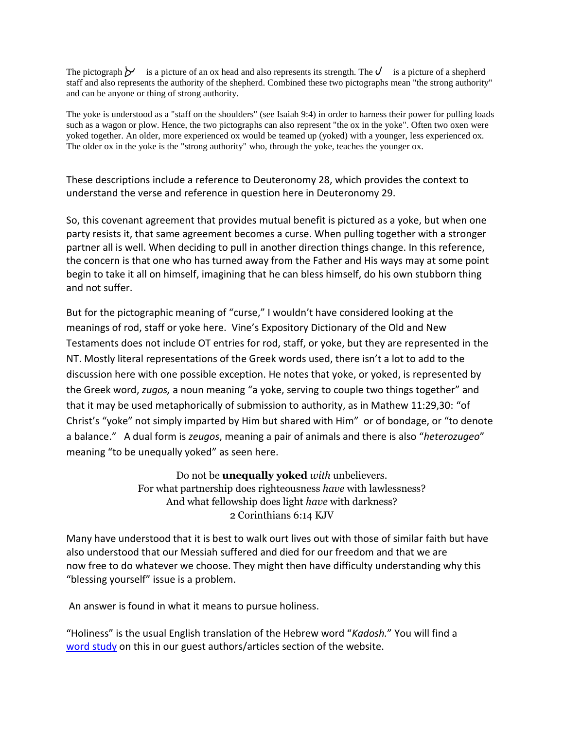The pictograph  $\gamma$  is a picture of an ox head and also represents its strength. The  $\gamma$  is a picture of a shepherd staff and also represents the authority of the shepherd. Combined these two pictographs mean "the strong authority" and can be anyone or thing of strong authority.

The yoke is understood as a "staff on the shoulders" (see Isaiah 9:4) in order to harness their power for pulling loads such as a wagon or plow. Hence, the two pictographs can also represent "the ox in the yoke". Often two oxen were yoked together. An older, more experienced ox would be teamed up (yoked) with a younger, less experienced ox. The older ox in the yoke is the "strong authority" who, through the yoke, teaches the younger ox.

These descriptions include a reference to Deuteronomy 28, which provides the context to understand the verse and reference in question here in Deuteronomy 29.

So, this covenant agreement that provides mutual benefit is pictured as a yoke, but when one party resists it, that same agreement becomes a curse. When pulling together with a stronger partner all is well. When deciding to pull in another direction things change. In this reference, the concern is that one who has turned away from the Father and His ways may at some point begin to take it all on himself, imagining that he can bless himself, do his own stubborn thing and not suffer.

But for the pictographic meaning of "curse," I wouldn't have considered looking at the meanings of rod, staff or yoke here. Vine's Expository Dictionary of the Old and New Testaments does not include OT entries for rod, staff, or yoke, but they are represented in the NT. Mostly literal representations of the Greek words used, there isn't a lot to add to the discussion here with one possible exception. He notes that yoke, or yoked, is represented by the Greek word, *zugos,* a noun meaning "a yoke, serving to couple two things together" and that it may be used metaphorically of submission to authority, as in Mathew 11:29,30: "of Christ's "yoke" not simply imparted by Him but shared with Him" or of bondage, or "to denote a balance." A dual form is *zeugos*, meaning a pair of animals and there is also "*heterozugeo*" meaning "to be unequally yoked" as seen here.

> Do not be **unequally yoked** *with* unbelievers. For what partnership does righteousness *have* with lawlessness? And what fellowship does light *have* with darkness? 2 Corinthians 6:14 KJV

Many have understood that it is best to walk ourt lives out with those of similar faith but have also understood that our Messiah suffered and died for our freedom and that we are now free to do whatever we choose. They might then have difficulty understanding why this "blessing yourself" issue is a problem.

An answer is found in what it means to pursue holiness.

"Holiness" is the usual English translation of the Hebrew word "*Kadosh.*" You will find a [word study](http://www.christianleadershipcenter.org/otws7.htm) on this in our guest authors/articles section of the website.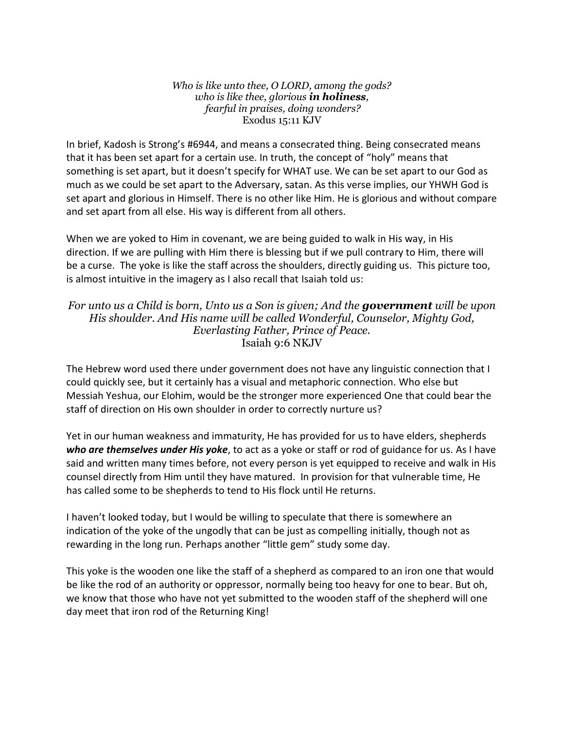*Who is like unto thee, O LORD, among the gods? who is like thee, glorious in holiness, fearful in praises, doing wonders?* Exodus 15:11 KJV

In brief, Kadosh is Strong's #6944, and means a consecrated thing. Being consecrated means that it has been set apart for a certain use. In truth, the concept of "holy" means that something is set apart, but it doesn't specify for WHAT use. We can be set apart to our God as much as we could be set apart to the Adversary, satan. As this verse implies, our YHWH God is set apart and glorious in Himself. There is no other like Him. He is glorious and without compare and set apart from all else. His way is different from all others.

When we are yoked to Him in covenant, we are being guided to walk in His way, in His direction. If we are pulling with Him there is blessing but if we pull contrary to Him, there will be a curse. The yoke is like the staff across the shoulders, directly guiding us. This picture too, is almost intuitive in the imagery as I also recall that Isaiah told us:

### *For unto us a Child is born, Unto us a Son is given; And the government will be upon His shoulder. And His name will be called Wonderful, Counselor, Mighty God, Everlasting Father, Prince of Peace.* Isaiah 9:6 NKJV

The Hebrew word used there under government does not have any linguistic connection that I could quickly see, but it certainly has a visual and metaphoric connection. Who else but Messiah Yeshua, our Elohim, would be the stronger more experienced One that could bear the staff of direction on His own shoulder in order to correctly nurture us?

Yet in our human weakness and immaturity, He has provided for us to have elders, shepherds *who are themselves under His yoke*, to act as a yoke or staff or rod of guidance for us. As I have said and written many times before, not every person is yet equipped to receive and walk in His counsel directly from Him until they have matured. In provision for that vulnerable time, He has called some to be shepherds to tend to His flock until He returns.

I haven't looked today, but I would be willing to speculate that there is somewhere an indication of the yoke of the ungodly that can be just as compelling initially, though not as rewarding in the long run. Perhaps another "little gem" study some day.

This yoke is the wooden one like the staff of a shepherd as compared to an iron one that would be like the rod of an authority or oppressor, normally being too heavy for one to bear. But oh, we know that those who have not yet submitted to the wooden staff of the shepherd will one day meet that iron rod of the Returning King!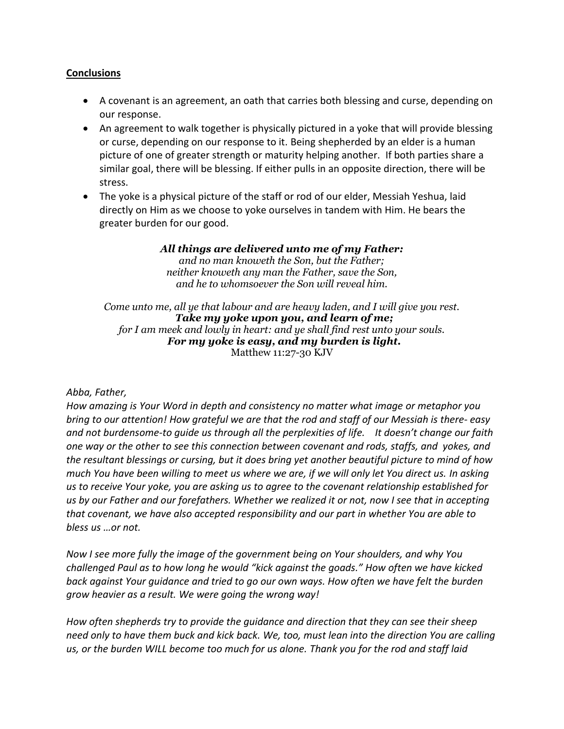### **Conclusions**

- A covenant is an agreement, an oath that carries both blessing and curse, depending on our response.
- An agreement to walk together is physically pictured in a yoke that will provide blessing or curse, depending on our response to it. Being shepherded by an elder is a human picture of one of greater strength or maturity helping another. If both parties share a similar goal, there will be blessing. If either pulls in an opposite direction, there will be stress.
- The yoke is a physical picture of the staff or rod of our elder, Messiah Yeshua, laid directly on Him as we choose to yoke ourselves in tandem with Him. He bears the greater burden for our good.

*All things are delivered unto me of my Father:* 

*and no man knoweth the Son, but the Father; neither knoweth any man the Father, save the Son, and he to whomsoever the Son will reveal him.*

*Come unto me, all ye that labour and are heavy laden, and I will give you rest. Take my yoke upon you, and learn of me; for I am meek and lowly in heart: and ye shall find rest unto your souls. For my yoke is easy, and my burden is light.* Matthew 11:27-30 KJV

## *Abba, Father,*

*How amazing is Your Word in depth and consistency no matter what image or metaphor you bring to our attention! How grateful we are that the rod and staff of our Messiah is there- easy and not burdensome-to guide us through all the perplexities of life. It doesn't change our faith one way or the other to see this connection between covenant and rods, staffs, and yokes, and the resultant blessings or cursing, but it does bring yet another beautiful picture to mind of how much You have been willing to meet us where we are, if we will only let You direct us. In asking us to receive Your yoke, you are asking us to agree to the covenant relationship established for us by our Father and our forefathers. Whether we realized it or not, now I see that in accepting that covenant, we have also accepted responsibility and our part in whether You are able to bless us …or not.*

*Now I see more fully the image of the government being on Your shoulders, and why You challenged Paul as to how long he would "kick against the goads." How often we have kicked back against Your guidance and tried to go our own ways. How often we have felt the burden grow heavier as a result. We were going the wrong way!*

*How often shepherds try to provide the guidance and direction that they can see their sheep need only to have them buck and kick back. We, too, must lean into the direction You are calling us, or the burden WILL become too much for us alone. Thank you for the rod and staff laid*